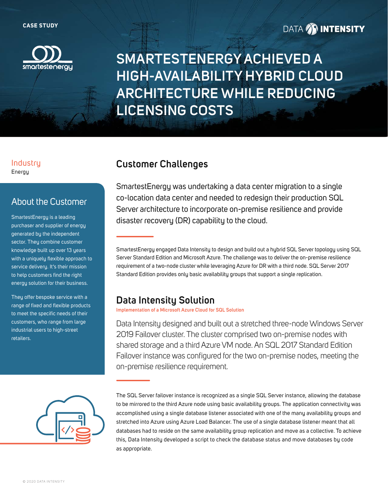

### **DATA 29 INTENSITY**

# **SMARTESTENERGY ACHIEVED A HIGH-AVAILABILITY HYBRID CLOUD ARCHITECTURE WHILE REDUCING LICENSING COSTS**

#### Industry **Customer Challenges** Energy

### About the Customer

SmartestEnergy is a leading purchaser and supplier of energy generated by the independent sector. They combine customer knowledge built up over 13 years with a uniquely flexible approach to service delivery. It's their mission to help customers find the right energy solution for their business.

They offer bespoke service with a range of fixed and flexible products to meet the specific needs of their customers, who range from large industrial users to high-street retailers.



SmartestEnergy was undertaking a data center migration to a single co-location data center and needed to redesign their production SQL Server architecture to incorporate on-premise resilience and provide disaster recovery (DR) capability to the cloud.

SmartestEnergy engaged Data Intensity to design and build out a hybrid SQL Server topology using SQL Server Standard Edition and Microsoft Azure. The challenge was to deliver the on-premise resilience requirement of a two-node cluster while leveraging Azure for DR with a third node. SQL Server 2017 Standard Edition provides only basic availability groups that support a single replication.

### **Data Intensity Solution**

**Implementation of a Microsoft Azure Cloud for SQL Solution**

Data Intensity designed and built out a stretched three-node Windows Server 2019 Failover cluster. The cluster comprised two on-premise nodes with shared storage and a third Azure VM node. An SQL 2017 Standard Edition Failover instance was configured for the two on-premise nodes, meeting the on-premise resilience requirement.

The SQL Server failover instance is recognized as a single SQL Server instance, allowing the database to be mirrored to the third Azure node using basic availability groups. The application connectivity was accomplished using a single database listener associated with one of the many availability groups and stretched into Azure using Azure Load Balancer. The use of a single database listener meant that all databases had to reside on the same availability group replication and move as a collective. To achieve this, Data Intensity developed a script to check the database status and move databases by code as appropriate.